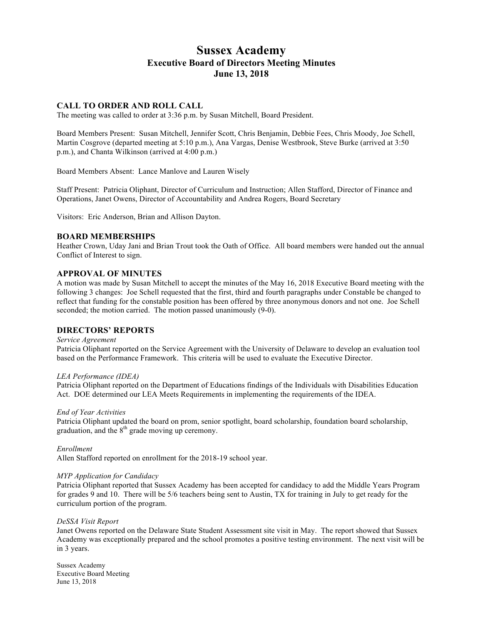# **Sussex Academy Executive Board of Directors Meeting Minutes June 13, 2018**

### **CALL TO ORDER AND ROLL CALL**

The meeting was called to order at 3:36 p.m. by Susan Mitchell, Board President.

Board Members Present: Susan Mitchell, Jennifer Scott, Chris Benjamin, Debbie Fees, Chris Moody, Joe Schell, Martin Cosgrove (departed meeting at 5:10 p.m.), Ana Vargas, Denise Westbrook, Steve Burke (arrived at 3:50 p.m.), and Chanta Wilkinson (arrived at 4:00 p.m.)

Board Members Absent: Lance Manlove and Lauren Wisely

Staff Present: Patricia Oliphant, Director of Curriculum and Instruction; Allen Stafford, Director of Finance and Operations, Janet Owens, Director of Accountability and Andrea Rogers, Board Secretary

Visitors: Eric Anderson, Brian and Allison Dayton.

### **BOARD MEMBERSHIPS**

Heather Crown, Uday Jani and Brian Trout took the Oath of Office. All board members were handed out the annual Conflict of Interest to sign.

### **APPROVAL OF MINUTES**

A motion was made by Susan Mitchell to accept the minutes of the May 16, 2018 Executive Board meeting with the following 3 changes: Joe Schell requested that the first, third and fourth paragraphs under Constable be changed to reflect that funding for the constable position has been offered by three anonymous donors and not one. Joe Schell seconded; the motion carried. The motion passed unanimously (9-0).

### **DIRECTORS' REPORTS**

#### *Service Agreement*

Patricia Oliphant reported on the Service Agreement with the University of Delaware to develop an evaluation tool based on the Performance Framework. This criteria will be used to evaluate the Executive Director.

#### *LEA Performance (IDEA)*

Patricia Oliphant reported on the Department of Educations findings of the Individuals with Disabilities Education Act. DOE determined our LEA Meets Requirements in implementing the requirements of the IDEA.

#### *End of Year Activities*

Patricia Oliphant updated the board on prom, senior spotlight, board scholarship, foundation board scholarship, graduation, and the  $8<sup>th</sup>$  grade moving up ceremony.

*Enrollment* 

Allen Stafford reported on enrollment for the 2018-19 school year.

#### *MYP Application for Candidacy*

Patricia Oliphant reported that Sussex Academy has been accepted for candidacy to add the Middle Years Program for grades 9 and 10. There will be 5/6 teachers being sent to Austin, TX for training in July to get ready for the curriculum portion of the program.

#### *DeSSA Visit Report*

Janet Owens reported on the Delaware State Student Assessment site visit in May. The report showed that Sussex Academy was exceptionally prepared and the school promotes a positive testing environment. The next visit will be in 3 years.

Sussex Academy Executive Board Meeting June 13, 2018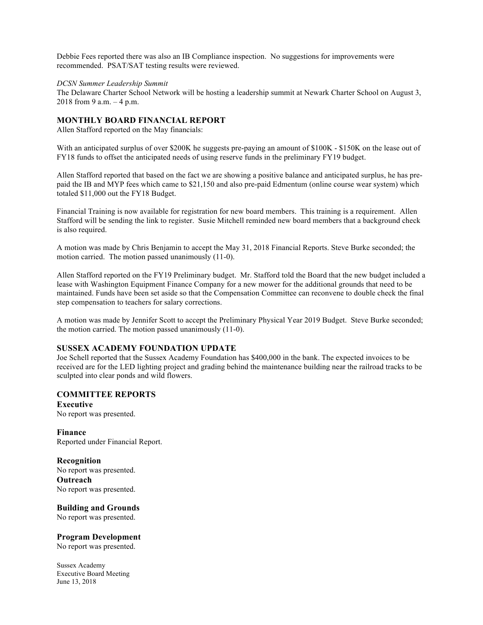Debbie Fees reported there was also an IB Compliance inspection. No suggestions for improvements were recommended. PSAT/SAT testing results were reviewed.

*DCSN Summer Leadership Summit*

The Delaware Charter School Network will be hosting a leadership summit at Newark Charter School on August 3, 2018 from 9 a.m. – 4 p.m.

### **MONTHLY BOARD FINANCIAL REPORT**

Allen Stafford reported on the May financials:

With an anticipated surplus of over \$200K he suggests pre-paying an amount of \$100K - \$150K on the lease out of FY18 funds to offset the anticipated needs of using reserve funds in the preliminary FY19 budget.

Allen Stafford reported that based on the fact we are showing a positive balance and anticipated surplus, he has prepaid the IB and MYP fees which came to \$21,150 and also pre-paid Edmentum (online course wear system) which totaled \$11,000 out the FY18 Budget.

Financial Training is now available for registration for new board members. This training is a requirement. Allen Stafford will be sending the link to register. Susie Mitchell reminded new board members that a background check is also required.

A motion was made by Chris Benjamin to accept the May 31, 2018 Financial Reports. Steve Burke seconded; the motion carried. The motion passed unanimously (11-0).

Allen Stafford reported on the FY19 Preliminary budget. Mr. Stafford told the Board that the new budget included a lease with Washington Equipment Finance Company for a new mower for the additional grounds that need to be maintained. Funds have been set aside so that the Compensation Committee can reconvene to double check the final step compensation to teachers for salary corrections.

A motion was made by Jennifer Scott to accept the Preliminary Physical Year 2019 Budget. Steve Burke seconded; the motion carried. The motion passed unanimously (11-0).

### **SUSSEX ACADEMY FOUNDATION UPDATE**

Joe Schell reported that the Sussex Academy Foundation has \$400,000 in the bank. The expected invoices to be received are for the LED lighting project and grading behind the maintenance building near the railroad tracks to be sculpted into clear ponds and wild flowers.

### **COMMITTEE REPORTS**

**Executive**  No report was presented.

**Finance** Reported under Financial Report.

### **Recognition**

No report was presented. **Outreach** No report was presented.

### **Building and Grounds**

No report was presented.

#### **Program Development**

No report was presented.

Sussex Academy Executive Board Meeting June 13, 2018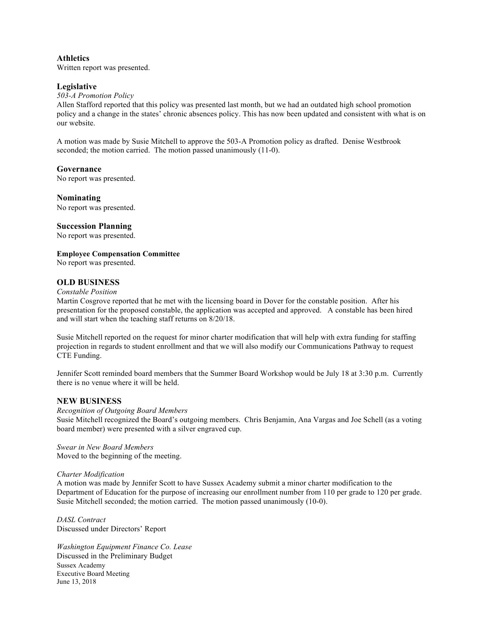### **Athletics** Written report was presented.

### **Legislative**

### *503-A Promotion Policy*

Allen Stafford reported that this policy was presented last month, but we had an outdated high school promotion policy and a change in the states' chronic absences policy. This has now been updated and consistent with what is on our website.

A motion was made by Susie Mitchell to approve the 503-A Promotion policy as drafted. Denise Westbrook seconded; the motion carried. The motion passed unanimously (11-0).

### **Governance**

No report was presented.

**Nominating** No report was presented.

### **Succession Planning**

No report was presented.

**Employee Compensation Committee**

No report was presented.

# **OLD BUSINESS**

### *Constable Position*

Martin Cosgrove reported that he met with the licensing board in Dover for the constable position. After his presentation for the proposed constable, the application was accepted and approved. A constable has been hired and will start when the teaching staff returns on 8/20/18.

Susie Mitchell reported on the request for minor charter modification that will help with extra funding for staffing projection in regards to student enrollment and that we will also modify our Communications Pathway to request CTE Funding.

Jennifer Scott reminded board members that the Summer Board Workshop would be July 18 at 3:30 p.m. Currently there is no venue where it will be held.

## **NEW BUSINESS**

#### *Recognition of Outgoing Board Members*

Susie Mitchell recognized the Board's outgoing members. Chris Benjamin, Ana Vargas and Joe Schell (as a voting board member) were presented with a silver engraved cup.

*Swear in New Board Members*  Moved to the beginning of the meeting.

#### *Charter Modification*

A motion was made by Jennifer Scott to have Sussex Academy submit a minor charter modification to the Department of Education for the purpose of increasing our enrollment number from 110 per grade to 120 per grade. Susie Mitchell seconded; the motion carried. The motion passed unanimously (10-0).

*DASL Contract* Discussed under Directors' Report

Sussex Academy Executive Board Meeting June 13, 2018 *Washington Equipment Finance Co. Lease*  Discussed in the Preliminary Budget